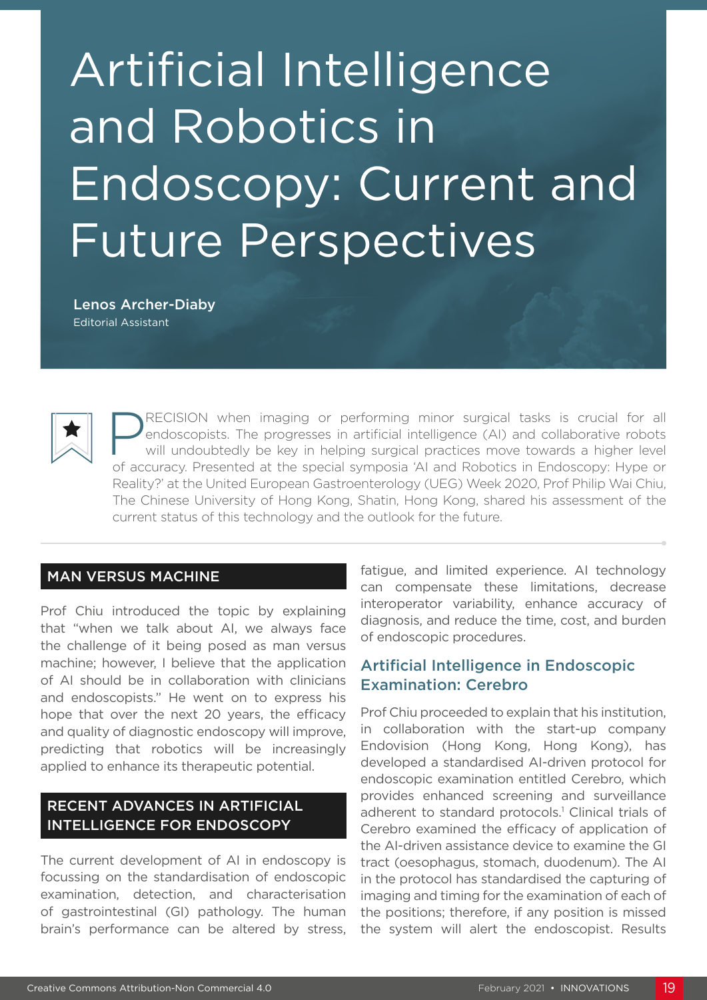# Artificial Intelligence and Robotics in Endoscopy: Current and Future Perspectives

Lenos Archer-Diaby Editorial Assistant

> RECISION when imaging or performing minor surgical tasks is crucial for all endoscopists. The progresses in artificial intelligence (AI) and collaborative robots will undoubtedly be key in helping surgical practices move towards a higher level of accuracy. Presented at the special symposia 'AI and Robotics in Endoscopy: Hype or Reality?' at the United European Gastroenterology (UEG) Week 2020, Prof Philip Wai Chiu, The Chinese University of Hong Kong, Shatin, Hong Kong, shared his assessment of the current status of this technology and the outlook for the future.

#### MAN VERSUS MACHINE

Prof Chiu introduced the topic by explaining that "when we talk about AI, we always face the challenge of it being posed as man versus machine; however, I believe that the application of AI should be in collaboration with clinicians and endoscopists." He went on to express his hope that over the next 20 years, the efficacy and quality of diagnostic endoscopy will improve, predicting that robotics will be increasingly applied to enhance its therapeutic potential.

### RECENT ADVANCES IN ARTIFICIAL INTELLIGENCE FOR ENDOSCOPY

The current development of AI in endoscopy is focussing on the standardisation of endoscopic examination, detection, and characterisation of gastrointestinal (GI) pathology. The human brain's performance can be altered by stress, fatigue, and limited experience. AI technology can compensate these limitations, decrease interoperator variability, enhance accuracy of diagnosis, and reduce the time, cost, and burden of endoscopic procedures.

#### Artificial Intelligence in Endoscopic Examination: Cerebro

Prof Chiu proceeded to explain that his institution, in collaboration with the start-up company Endovision (Hong Kong, Hong Kong), has developed a standardised AI-driven protocol for endoscopic examination entitled Cerebro, which provides enhanced screening and surveillance adherent to standard protocols.<sup>1</sup> Clinical trials of Cerebro examined the efficacy of application of the AI-driven assistance device to examine the GI tract (oesophagus, stomach, duodenum). The AI in the protocol has standardised the capturing of imaging and timing for the examination of each of the positions; therefore, if any position is missed the system will alert the endoscopist. Results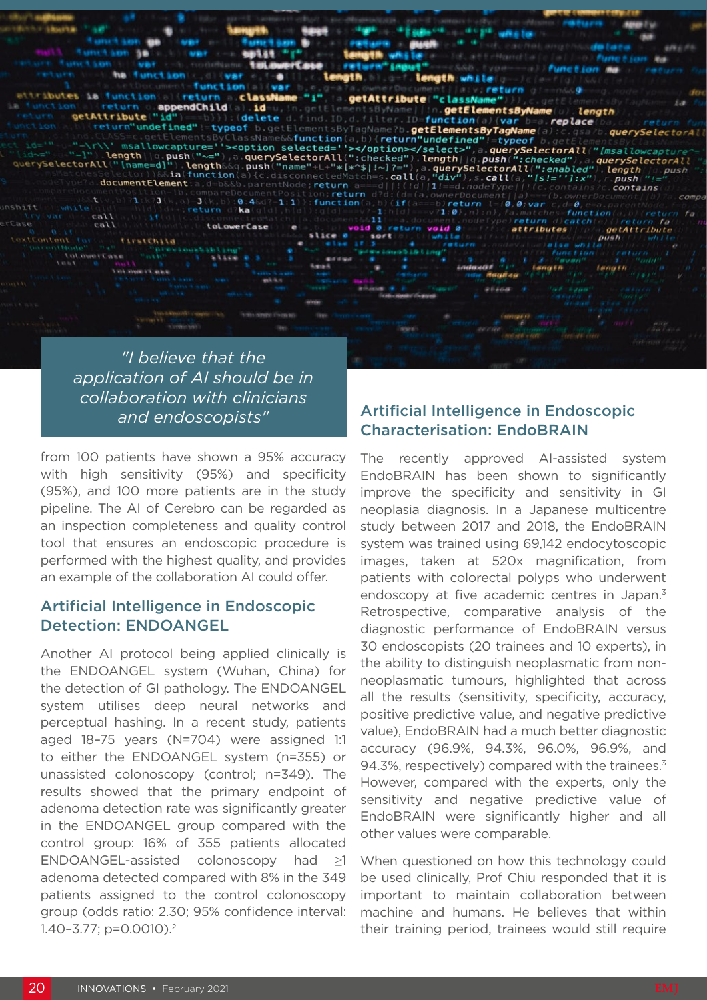

*"I believe that the application of AI should be in collaboration with clinicians and endoscopists"*

from 100 patients have shown a 95% accuracy with high sensitivity (95%) and specificity (95%), and 100 more patients are in the study pipeline. The AI of Cerebro can be regarded as an inspection completeness and quality control tool that ensures an endoscopic procedure is performed with the highest quality, and provides an example of the collaboration AI could offer.

#### Artificial Intelligence in Endoscopic Detection: ENDOANGEL

Another AI protocol being applied clinically is the ENDOANGEL system (Wuhan, China) for the detection of GI pathology. The ENDOANGEL system utilises deep neural networks and perceptual hashing. In a recent study, patients aged 18–75 years (N=704) were assigned 1:1 to either the ENDOANGEL system (n=355) or unassisted colonoscopy (control; n=349). The results showed that the primary endpoint of adenoma detection rate was significantly greater in the ENDOANGEL group compared with the control group: 16% of 355 patients allocated ENDOANGEL-assisted colonoscopy had ≥1 adenoma detected compared with 8% in the 349 patients assigned to the control colonoscopy group (odds ratio: 2.30; 95% confidence interval: 1.40–3.77; p=0.0010).2

## Artificial Intelligence in Endoscopic Characterisation: EndoBRAIN

The recently approved AI-assisted system EndoBRAIN has been shown to significantly improve the specificity and sensitivity in GI neoplasia diagnosis. In a Japanese multicentre study between 2017 and 2018, the EndoBRAIN system was trained using 69,142 endocytoscopic images, taken at 520x magnification, from patients with colorectal polyps who underwent endoscopy at five academic centres in Japan.<sup>3</sup> Retrospective, comparative analysis of the diagnostic performance of EndoBRAIN versus 30 endoscopists (20 trainees and 10 experts), in the ability to distinguish neoplasmatic from nonneoplasmatic tumours, highlighted that across all the results (sensitivity, specificity, accuracy, positive predictive value, and negative predictive value), EndoBRAIN had a much better diagnostic accuracy (96.9%, 94.3%, 96.0%, 96.9%, and 94.3%, respectively) compared with the trainees.<sup>3</sup> However, compared with the experts, only the sensitivity and negative predictive value of EndoBRAIN were significantly higher and all other values were comparable.

When questioned on how this technology could be used clinically, Prof Chiu responded that it is important to maintain collaboration between machine and humans. He believes that within their training period, trainees would still require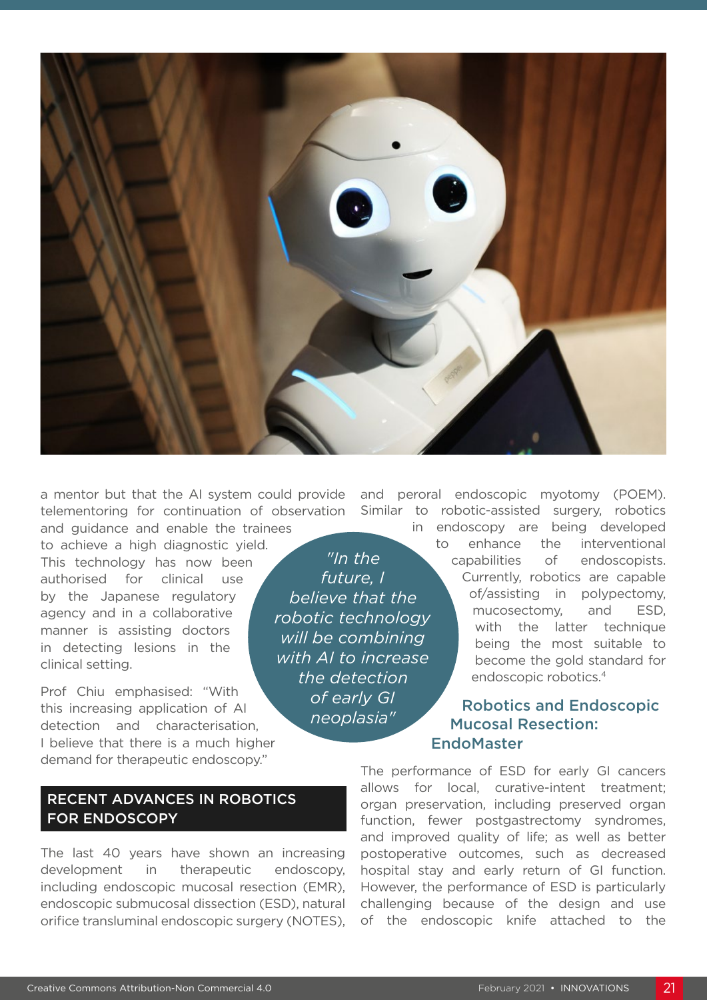

and guidance and enable the trainees to achieve a high diagnostic yield. This technology has now been authorised for clinical use by the Japanese regulatory agency and in a collaborative manner is assisting doctors in detecting lesions in the clinical setting.

Prof Chiu emphasised: "With this increasing application of AI detection and characterisation, I believe that there is a much higher demand for therapeutic endoscopy."

#### RECENT ADVANCES IN ROBOTICS FOR ENDOSCOPY

The last 40 years have shown an increasing development in therapeutic endoscopy, including endoscopic mucosal resection (EMR), endoscopic submucosal dissection (ESD), natural orifice transluminal endoscopic surgery (NOTES),

*"In the future, I believe that the robotic technology will be combining with AI to increase the detection of early GI neoplasia"*

a mentor but that the AI system could provide and peroral endoscopic myotomy (POEM). telementoring for continuation of observation Similar to robotic-assisted surgery, robotics

> in endoscopy are being developed to enhance the interventional capabilities of endoscopists. Currently, robotics are capable of/assisting in polypectomy, mucosectomy, and ESD, with the latter technique being the most suitable to become the gold standard for endoscopic robotics.4

### Robotics and Endoscopic Mucosal Resection: EndoMaster

The performance of ESD for early GI cancers allows for local, curative-intent treatment; organ preservation, including preserved organ function, fewer postgastrectomy syndromes, and improved quality of life; as well as better postoperative outcomes, such as decreased hospital stay and early return of GI function. However, the performance of ESD is particularly challenging because of the design and use of the endoscopic knife attached to the